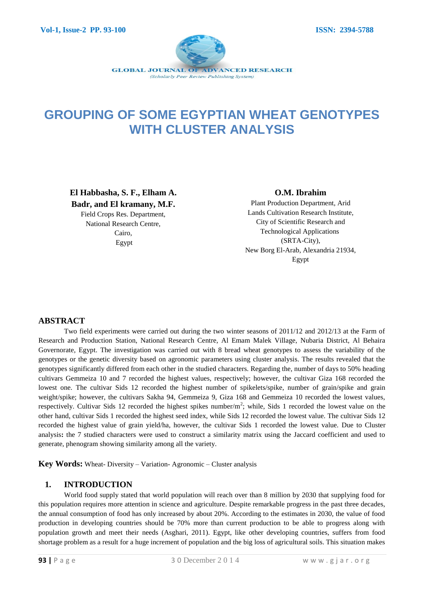

# **GROUPING OF SOME EGYPTIAN WHEAT GENOTYPES WITH CLUSTER ANALYSIS**

**El Habbasha, S. F., Elham A. Badr, and El kramany, M.F.** Field Crops Res. Department, National Research Centre, Cairo, Egypt

#### **O.M. Ibrahim**

Plant Production Department, Arid Lands Cultivation Research Institute, City of Scientific Research and Technological Applications (SRTA-City), New Borg El-Arab, Alexandria 21934, Egypt

## **ABSTRACT**

Two field experiments were carried out during the two winter seasons of 2011/12 and 2012/13 at the Farm of Research and Production Station, National Research Centre, Al Emam Malek Village, Nubaria District, Al Behaira Governorate, Egypt. The investigation was carried out with 8 bread wheat genotypes to assess the variability of the genotypes or the genetic diversity based on agronomic parameters using cluster analysis. The results revealed that the genotypes significantly differed from each other in the studied characters. Regarding the, number of days to 50% heading cultivars Gemmeiza 10 and 7 recorded the highest values, respectively; however, the cultivar Giza 168 recorded the lowest one. The cultivar Sids 12 recorded the highest number of spikelets/spike, number of grain/spike and grain weight/spike; however, the cultivars Sakha 94, Gemmeiza 9, Giza 168 and Gemmeiza 10 recorded the lowest values, respectively. Cultivar Sids 12 recorded the highest spikes number/ $m^2$ ; while, Sids 1 recorded the lowest value on the other hand, cultivar Sids 1 recorded the highest seed index, while Sids 12 recorded the lowest value. The cultivar Sids 12 recorded the highest value of grain yield/ha, however, the cultivar Sids 1 recorded the lowest value. Due to Cluster analysis**:** the 7 studied characters were used to construct a similarity matrix using the Jaccard coefficient and used to generate, phenogram showing similarity among all the variety.

**Key Words:** Wheat- Diversity – Variation- Agronomic – Cluster analysis

#### **1. INTRODUCTION**

World food supply stated that world population will reach over than 8 million by 2030 that supplying food for this population requires more attention in science and agriculture. Despite remarkable progress in the past three decades, the annual consumption of food has only increased by about 20%. According to the estimates in 2030, the value of food production in developing countries should be 70% more than current production to be able to progress along with population growth and meet their needs (Asghari, 2011). Egypt, like other developing countries, suffers from food shortage problem as a result for a huge increment of population and the big loss of agricultural soils. This situation makes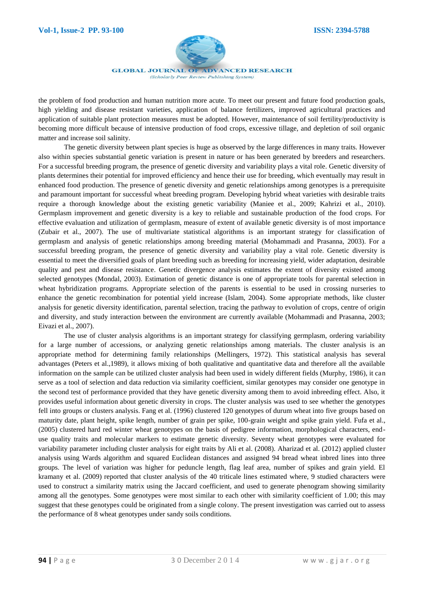

**GLOBAL JOURNAL OF ADVANCED RESEARCH** (Scholarly Peer Review Publishing System)

the problem of food production and human nutrition more acute. To meet our present and future food production goals, high yielding and disease resistant varieties, application of balance fertilizers, improved agricultural practices and application of suitable plant protection measures must be adopted. However, maintenance of soil fertility/productivity is becoming more difficult because of intensive production of food crops, excessive tillage, and depletion of soil organic matter and increase soil salinity.

The genetic diversity between plant species is huge as observed by the large differences in many traits. However also within species substantial genetic variation is present in nature or has been generated by breeders and researchers. For a successful breeding program, the presence of genetic diversity and variability plays a vital role. Genetic diversity of plants determines their potential for improved efficiency and hence their use for breeding, which eventually may result in enhanced food production. The presence of genetic diversity and genetic relationships among genotypes is a prerequisite and paramount important for successful wheat breeding program. Developing hybrid wheat varieties with desirable traits require a thorough knowledge about the existing genetic variability (Maniee et al., 2009; Kahrizi et al., 2010). Germplasm improvement and genetic diversity is a key to reliable and sustainable production of the food crops. For effective evaluation and utilization of germplasm, measure of extent of available genetic diversity is of most importance (Zubair et al., 2007). The use of multivariate statistical algorithms is an important strategy for classification of germplasm and analysis of genetic relationships among breeding material (Mohammadi and Prasanna, 2003). For a successful breeding program, the presence of genetic diversity and variability play a vital role. Genetic diversity is essential to meet the diversified goals of plant breeding such as breeding for increasing yield, wider adaptation, desirable quality and pest and disease resistance. Genetic divergence analysis estimates the extent of diversity existed among selected genotypes (Mondal, 2003). Estimation of genetic distance is one of appropriate tools for parental selection in wheat hybridization programs. Appropriate selection of the parents is essential to be used in crossing nurseries to enhance the genetic recombination for potential yield increase (Islam, 2004). Some appropriate methods, like cluster analysis for genetic diversity identification, parental selection, tracing the pathway to evolution of crops, centre of origin and diversity, and study interaction between the environment are currently available (Mohammadi and Prasanna, 2003; Eivazi et al., 2007).

The use of cluster analysis algorithms is an important strategy for classifying germplasm, ordering variability for a large number of accessions, or analyzing genetic relationships among materials. The cluster analysis is an appropriate method for determining family relationships (Mellingers, 1972). This statistical analysis has several advantages (Peters et al.,1989), it allows mixing of both qualitative and quantitative data and therefore all the available information on the sample can be utilized cluster analysis had been used in widely different fields (Murphy, 1986), it can serve as a tool of selection and data reduction via similarity coefficient, similar genotypes may consider one genotype in the second test of performance provided that they have genetic diversity among them to avoid inbreeding effect. Also, it provides useful information about genetic diversity in crops. The cluster analysis was used to see whether the genotypes fell into groups or clusters analysis. Fang et al. (1996) clustered 120 genotypes of durum wheat into five groups based on maturity date, plant height, spike length, number of grain per spike, 100-grain weight and spike grain yield. Fufa et al., (2005) clustered hard red winter wheat genotypes on the basis of pedigree information, morphological characters, enduse quality traits and molecular markers to estimate genetic diversity. Seventy wheat genotypes were evaluated for variability parameter including cluster analysis for eight traits by Ali et al. (2008). Aharizad et al. (2012) applied cluster analysis using Wards algorithm and squared Euclidean distances and assigned 94 bread wheat inbred lines into three groups. The level of variation was higher for peduncle length, flag leaf area, number of spikes and grain yield. El kramany et al. (2009) reported that cluster analysis of the 40 triticale lines estimated where, 9 studied characters were used to construct a similarity matrix using the Jaccard coefficient, and used to generate phenogram showing similarity among all the genotypes. Some genotypes were most similar to each other with similarity coefficient of 1.00; this may suggest that these genotypes could be originated from a single colony. The present investigation was carried out to assess the performance of 8 wheat genotypes under sandy soils conditions.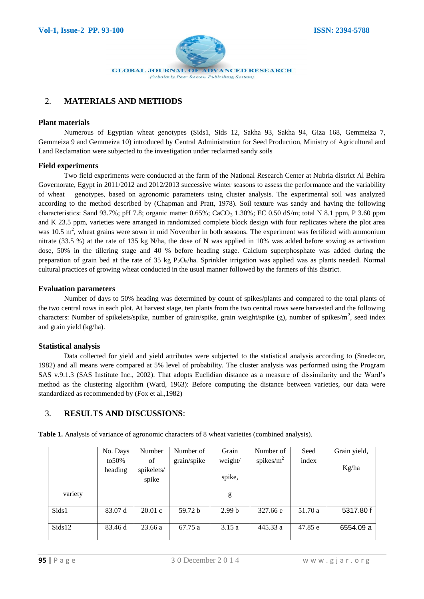

# 2. **MATERIALS AND METHODS**

#### **Plant materials**

Numerous of Egyptian wheat genotypes (Sids1, Sids 12, Sakha 93, Sakha 94, Giza 168, Gemmeiza 7, Gemmeiza 9 and Gemmeiza 10) introduced by Central Administration for Seed Production, Ministry of Agricultural and Land Reclamation were subjected to the investigation under reclaimed sandy soils

#### **Field experiments**

Two field experiments were conducted at the farm of the National Research Center at Nubria district Al Behira Governorate, Egypt in 2011/2012 and 2012/2013 successive winter seasons to assess the performance and the variability of wheat genotypes, based on agronomic parameters using cluster analysis. The experimental soil was analyzed according to the method described by (Chapman and Pratt, 1978). Soil texture was sandy and having the following characteristics: Sand 93.7%; pH 7.8; organic matter 0.65%; CaCO<sub>3</sub> 1.30%; EC 0.50 dS/m; total N 8.1 ppm, P 3.60 ppm and K 23.5 ppm, varieties were arranged in randomized complete block design with four replicates where the plot area was 10.5  $m^2$ , wheat grains were sown in mid November in both seasons. The experiment was fertilized with ammonium nitrate (33.5 %) at the rate of 135 kg N/ha, the dose of N was applied in 10% was added before sowing as activation dose, 50% in the tillering stage and 40 % before heading stage. Calcium superphosphate was added during the preparation of grain bed at the rate of 35 kg P<sub>2</sub>O<sub>5</sub>/ha. Sprinkler irrigation was applied was as plants needed. Normal cultural practices of growing wheat conducted in the usual manner followed by the farmers of this district.

#### **Evaluation parameters**

Number of days to 50% heading was determined by count of spikes/plants and compared to the total plants of the two central rows in each plot. At harvest stage, ten plants from the two central rows were harvested and the following characters: Number of spikelets/spike, number of grain/spike, grain weight/spike (g), number of spikes/m<sup>2</sup>, seed index and grain yield (kg/ha).

#### **Statistical analysis**

Data collected for yield and yield attributes were subjected to the statistical analysis according to (Snedecor, 1982) and all means were compared at 5% level of probability. The cluster analysis was performed using the Program SAS v.9.1.3 (SAS Institute Inc., 2002). That adopts Euclidian distance as a measure of dissimilarity and the Ward's method as the clustering algorithm (Ward, 1963): Before computing the distance between varieties, our data were standardized as recommended by (Fox et al.,1982)

## 3. **RESULTS AND DISCUSSIONS**:

|         | No. Days | Number     | Number of   | Grain             | Number of     | Seed    | Grain yield, |
|---------|----------|------------|-------------|-------------------|---------------|---------|--------------|
|         | to 50%   | of         | grain/spike | weight/           | spikes/ $m^2$ | index   |              |
|         | heading  | spikelets/ |             |                   |               |         | Kg/ha        |
|         |          | spike      |             | spike,            |               |         |              |
| variety |          |            |             | g                 |               |         |              |
| Sids1   | 83.07 d  | 20.01 c    | 59.72 b     | 2.99 <sub>b</sub> | 327.66 e      | 51.70 a | 5317.80 f    |
| Sids12  | 83.46 d  | 23.66 a    | 67.75 a     | 3.15a             | 445.33 a      | 47.85 e | 6554.09 a    |

**Table 1.** Analysis of variance of agronomic characters of 8 wheat varieties (combined analysis).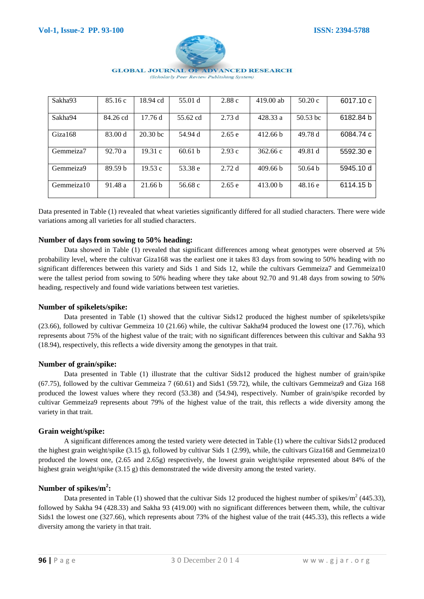

| Sakha93    | 85.16c             | 18.94 cd           | 55.01 d            | 2.88c  | $419.00$ ab         | 50.20c             | 6017.10 c |
|------------|--------------------|--------------------|--------------------|--------|---------------------|--------------------|-----------|
| Sakha94    | 84.26 cd           | 17.76d             | 55.62 cd           | 2.73d  | 428.33 a            | $50.53$ bc         | 6182.84 b |
| Giza168    | 83.00 d            | $20.30$ bc         | 54.94 d            | 2.65e  | 412.66 b            | 49.78 d            | 6084.74 c |
| Gemmeiza7  | 92.70a             | 19.31c             | 60.61 <sub>b</sub> | 2.93c  | 362.66c             | 49.81 d            | 5592.30 e |
| Gemmeiza9  | 89.59 <sub>b</sub> | 19.53c             | 53.38 e            | 2.72d  | 409.66 <sub>b</sub> | 50.64 <sub>b</sub> | 5945.10 d |
| Gemmeiza10 | 91.48 a            | 21.66 <sub>b</sub> | 56.68 c            | 2.65 e | 413.00 <sub>b</sub> | 48.16e             | 6114.15 b |

Data presented in Table (1) revealed that wheat varieties significantly differed for all studied characters. There were wide variations among all varieties for all studied characters.

#### **Number of days from sowing to 50% heading:**

Data showed in Table (1) revealed that significant differences among wheat genotypes were observed at 5% probability level, where the cultivar Giza168 was the earliest one it takes 83 days from sowing to 50% heading with no significant differences between this variety and Sids 1 and Sids 12, while the cultivars Gemmeiza7 and Gemmeiza10 were the tallest period from sowing to 50% heading where they take about 92.70 and 91.48 days from sowing to 50% heading, respectively and found wide variations between test varieties.

#### **Number of spikelets/spike:**

Data presented in Table (1) showed that the cultivar Sids12 produced the highest number of spikelets/spike (23.66), followed by cultivar Gemmeiza 10 (21.66) while, the cultivar Sakha94 produced the lowest one (17.76), which represents about 75% of the highest value of the trait; with no significant differences between this cultivar and Sakha 93 (18.94), respectively, this reflects a wide diversity among the genotypes in that trait.

#### **Number of grain/spike:**

Data presented in Table (1) illustrate that the cultivar Sids12 produced the highest number of grain/spike (67.75), followed by the cultivar Gemmeiza 7 (60.61) and Sids1 (59.72), while, the cultivars Gemmeiza9 and Giza 168 produced the lowest values where they record (53.38) and (54.94), respectively. Number of grain/spike recorded by cultivar Gemmeiza9 represents about 79% of the highest value of the trait, this reflects a wide diversity among the variety in that trait.

## **Grain weight/spike:**

A significant differences among the tested variety were detected in Table (1) where the cultivar Sids12 produced the highest grain weight/spike  $(3.15 \text{ g})$ , followed by cultivar Sids 1 (2.99), while, the cultivars Giza168 and Gemmeiza10 produced the lowest one, (2.65 and 2.65g) respectively, the lowest grain weight/spike represented about 84% of the highest grain weight/spike (3.15 g) this demonstrated the wide diversity among the tested variety.

## **Number of spikes/m<sup>2</sup> :**

Data presented in Table (1) showed that the cultivar Sids 12 produced the highest number of spikes/ $m^2$  (445.33), followed by Sakha 94 (428.33) and Sakha 93 (419.00) with no significant differences between them, while, the cultivar Sids1 the lowest one (327.66), which represents about 73% of the highest value of the trait (445.33), this reflects a wide diversity among the variety in that trait.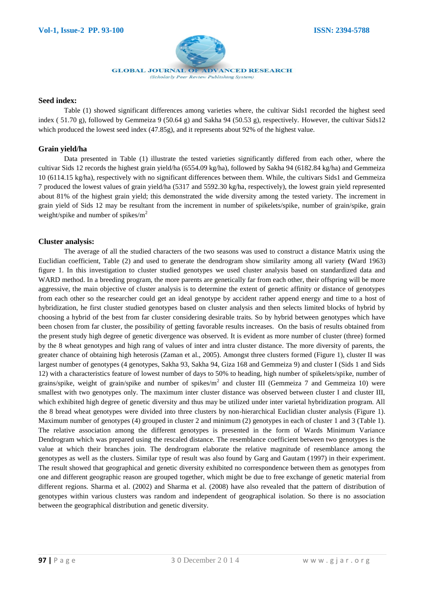

#### **Seed index:**

Table (1) showed significant differences among varieties where, the cultivar Sids1 recorded the highest seed index ( 51.70 g), followed by Gemmeiza 9 (50.64 g) and Sakha 94 (50.53 g), respectively. However, the cultivar Sids12 which produced the lowest seed index (47.85g), and it represents about 92% of the highest value.

#### **Grain yield/ha**

Data presented in Table (1) illustrate the tested varieties significantly differed from each other, where the cultivar Sids 12 records the highest grain yield/ha (6554.09 kg/ha), followed by Sakha 94 (6182.84 kg/ha) and Gemmeiza 10 (6114.15 kg/ha), respectively with no significant differences between them. While, the cultivars Sids1 and Gemmeiza 7 produced the lowest values of grain yield/ha (5317 and 5592.30 kg/ha, respectively), the lowest grain yield represented about 81% of the highest grain yield; this demonstrated the wide diversity among the tested variety. The increment in grain yield of Sids 12 may be resultant from the increment in number of spikelets/spike, number of grain/spike, grain weight/spike and number of spikes/ $m<sup>2</sup>$ 

#### **Cluster analysis:**

The average of all the studied characters of the two seasons was used to construct a distance Matrix using the Euclidian coefficient, Table (2) and used to generate the dendrogram show similarity among all variety **(**Ward 1963) figure 1. In this investigation to cluster studied genotypes we used cluster analysis based on standardized data and WARD method. In a breeding program, the more parents are genetically far from each other, their offspring will be more aggressive, the main objective of cluster analysis is to determine the extent of genetic affinity or distance of genotypes from each other so the researcher could get an ideal genotype by accident rather append energy and time to a host of hybridization, he first cluster studied genotypes based on cluster analysis and then selects limited blocks of hybrid by choosing a hybrid of the best from far cluster considering desirable traits. So by hybrid between genotypes which have been chosen from far cluster, the possibility of getting favorable results increases. On the basis of results obtained from the present study high degree of genetic divergence was observed. It is evident as more number of cluster (three) formed by the 8 wheat genotypes and high rang of values of inter and intra cluster distance. The more diversity of parents, the greater chance of obtaining high heterosis (Zaman et al., 2005). Amongst three clusters formed (Figure 1), cluster II was largest number of genotypes (4 genotypes, Sakha 93, Sakha 94, Giza 168 and Gemmeiza 9) and cluster I (Sids 1 and Sids 12) with a characteristics feature of lowest number of days to 50% to heading, high number of spikelets/spike, number of grains/spike, weight of grain/spike and number of spikes/ $m^2$  and cluster III (Gemmeiza 7 and Gemmeiza 10) were smallest with two genotypes only. The maximum inter cluster distance was observed between cluster I and cluster III, which exhibited high degree of genetic diversity and thus may be utilized under inter varietal hybridization program. All the 8 bread wheat genotypes were divided into three clusters by non-hierarchical Euclidian cluster analysis (Figure 1). Maximum number of genotypes (4) grouped in cluster 2 and minimum (2) genotypes in each of cluster 1 and 3 (Table 1). The relative association among the different genotypes is presented in the form of Wards Minimum Variance Dendrogram which was prepared using the rescaled distance. The resemblance coefficient between two genotypes is the value at which their branches join. The dendrogram elaborate the relative magnitude of resemblance among the genotypes as well as the clusters. Similar type of result was also found by Garg and Gautam (1997) in their experiment. The result showed that geographical and genetic diversity exhibited no correspondence between them as genotypes from one and different geographic reason are grouped together, which might be due to free exchange of genetic material from different regions. Sharma et al. (2002) and Sharma et al. (2008) have also revealed that the pattern of distribution of genotypes within various clusters was random and independent of geographical isolation. So there is no association between the geographical distribution and genetic diversity.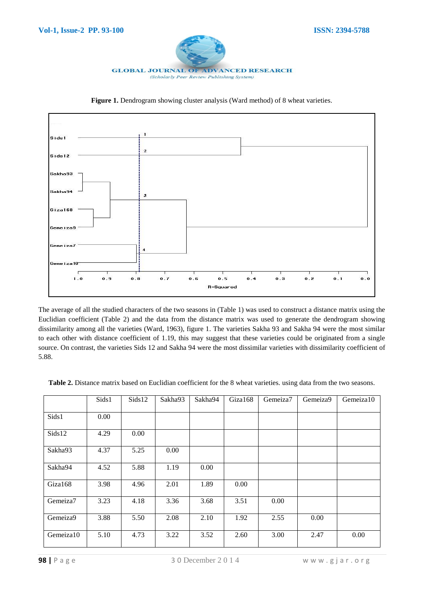



Figure 1. Dendrogram showing cluster analysis (Ward method) of 8 wheat varieties.

The average of all the studied characters of the two seasons in (Table 1) was used to construct a distance matrix using the Euclidian coefficient (Table 2) and the data from the distance matrix was used to generate the dendrogram showing dissimilarity among all the varieties (Ward, 1963), figure 1. The varieties Sakha 93 and Sakha 94 were the most similar to each other with distance coefficient of 1.19, this may suggest that these varieties could be originated from a single source. On contrast, the varieties Sids 12 and Sakha 94 were the most dissimilar varieties with dissimilarity coefficient of 5.88.

|           | Sids1 | Sids12 | Sakha93 | Sakha94 | Giza168 | Gemeiza7 | Gemeiza9 | Gemeiza10 |
|-----------|-------|--------|---------|---------|---------|----------|----------|-----------|
| Sids1     | 0.00  |        |         |         |         |          |          |           |
| Sids12    | 4.29  | 0.00   |         |         |         |          |          |           |
| Sakha93   | 4.37  | 5.25   | 0.00    |         |         |          |          |           |
| Sakha94   | 4.52  | 5.88   | 1.19    | 0.00    |         |          |          |           |
| Giza168   | 3.98  | 4.96   | 2.01    | 1.89    | 0.00    |          |          |           |
| Gemeiza7  | 3.23  | 4.18   | 3.36    | 3.68    | 3.51    | 0.00     |          |           |
| Gemeiza9  | 3.88  | 5.50   | 2.08    | 2.10    | 1.92    | 2.55     | 0.00     |           |
| Gemeiza10 | 5.10  | 4.73   | 3.22    | 3.52    | 2.60    | 3.00     | 2.47     | 0.00      |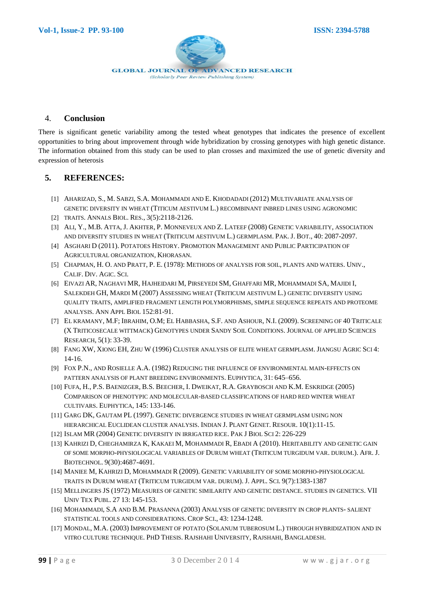

### 4. **Conclusion**

There is significant genetic variability among the tested wheat genotypes that indicates the presence of excellent opportunities to bring about improvement through wide hybridization by crossing genotypes with high genetic distance. The information obtained from this study can be used to plan crosses and maximized the use of genetic diversity and expression of heterosis

## **5. REFERENCES:**

- [1] AHARIZAD, S., M. SABZI, S.A. MOHAMMADI AND E. KHODADADI (2012) MULTIVARIATE ANALYSIS OF GENETIC DIVERSITY IN WHEAT (TITICUM AESTIVUM L.) RECOMBINANT INBRED LINES USING AGRONOMIC
- [2] TRAITS. ANNALS BIOL. RES., 3(5):2118-2126.
- [3] ALI, Y., M.B. ATTA, J. AKHTER, P. MONNEVEUX AND Z. LATEEF (2008) GENETIC VARIABILITY, ASSOCIATION AND DIVERSITY STUDIES IN WHEAT (TRITICUM AESTIVUM L.) GERMPLASM. PAK. J. BOT., 40: 2087-2097.
- [4] ASGHARI D (2011). POTATOES HISTORY. PROMOTION MANAGEMENT AND PUBLIC PARTICIPATION OF AGRICULTURAL ORGANIZATION, KHORASAN.
- [5] CHAPMAN, H. O. AND PRATT, P. E. (1978): METHODS OF ANALYSIS FOR SOIL, PLANTS AND WATERS. UNIV., CALIF. DIV. AGIC. SCI.
- [6] EIVAZI AR, NAGHAVI MR, HAJHEIDARI M, PIRSEYEDI SM, GHAFFARI MR, MOHAMMADI SA, MAJIDI I, SALEKDEH GH, MARDI M (2007) ASSESSING WHEAT (TRITICUM AESTIVUM L.) GENETIC DIVERSITY USING QUALITY TRAITS, AMPLIFIED FRAGMENT LENGTH POLYMORPHISMS, SIMPLE SEQUENCE REPEATS AND PROTEOME ANALYSIS. ANN APPL BIOL 152:81-91.
- [7] EL KRAMANY, M.F; IBRAHIM, O.M; EL HABBASHA, S.F. AND ASHOUR, N.I. (2009). SCREENING OF 40 TRITICALE (X TRITICOSECALE WITTMACK) GENOTYPES UNDER SANDY SOIL CONDITIONS. JOURNAL OF APPLIED SCIENCES RESEARCH, 5(1): 33-39.
- [8] FANG XW, XIONG EH, ZHU W (1996) CLUSTER ANALYSIS OF ELITE WHEAT GERMPLASM. JIANGSU AGRIC SCI 4: 14-16.
- [9] FOX P.N., AND ROSIELLE A.A. (1982) REDUCING THE INFLUENCE OF ENVIRONMENTAL MAIN-EFFECTS ON PATTERN ANALYSIS OF PLANT BREEDING ENVIRONMENTS. EUPHYTICA, 31: 645–656.
- [10] FUFA, H., P.S. BAENIZGER, B.S. BEECHER, I. DWEIKAT, R.A. GRAYBOSCH AND K.M. ESKRIDGE (2005) COMPARISON OF PHENOTYPIC AND MOLECULAR-BASED CLASSIFICATIONS OF HARD RED WINTER WHEAT CULTIVARS. EUPHYTICA, 145: 133-146.
- [11] GARG DK, GAUTAM PL (1997). GENETIC DIVERGENCE STUDIES IN WHEAT GERMPLASM USING NON HIERARCHICAL EUCLIDEAN CLUSTER ANALYSIS. INDIAN J. PLANT GENET. RESOUR. 10(1):11-15.
- [12] ISLAM MR (2004) GENETIC DIVERSITY IN IRRIGATED RICE. PAK J BIOL SCI 2: 226-229
- [13] KAHRIZI D, CHEGHAMIRZA K, KAKAEI M, MOHAMMADI R, EBADI A (2010). HERITABILITY AND GENETIC GAIN OF SOME MORPHO-PHYSIOLOGICAL VARIABLES OF DURUM WHEAT (TRITICUM TURGIDUM VAR. DURUM.). AFR. J. BIOTECHNOL. 9(30):4687-4691.
- [14] MANIEE M, KAHRIZI D, MOHAMMADI R (2009). GENETIC VARIABILITY OF SOME MORPHO-PHYSIOLOGICAL TRAITS IN DURUM WHEAT (TRITICUM TURGIDUM VAR. DURUM). J. APPL. SCI. 9(7):1383-1387
- [15] MELLINGERS JS (1972) MEASURES OF GENETIC SIMILARITY AND GENETIC DISTANCE. STUDIES IN GENETICS. VII UNIV TEX PUBL. 27 13: 145-153.
- [16] MOHAMMADI, S.A AND B.M. PRASANNA (2003) ANALYSIS OF GENETIC DIVERSITY IN CROP PLANTS- SALIENT STATISTICAL TOOLS AND CONSIDERATIONS. CROP SCI., 43: 1234-1248.
- [17] MONDAL, M.A. (2003) IMPROVEMENT OF POTATO (SOLANUM TUBEROSUM L.) THROUGH HYBRIDIZATION AND IN VITRO CULTURE TECHNIQUE. PHD THESIS. RAJSHAHI UNIVERSITY, RAJSHAHI, BANGLADESH.